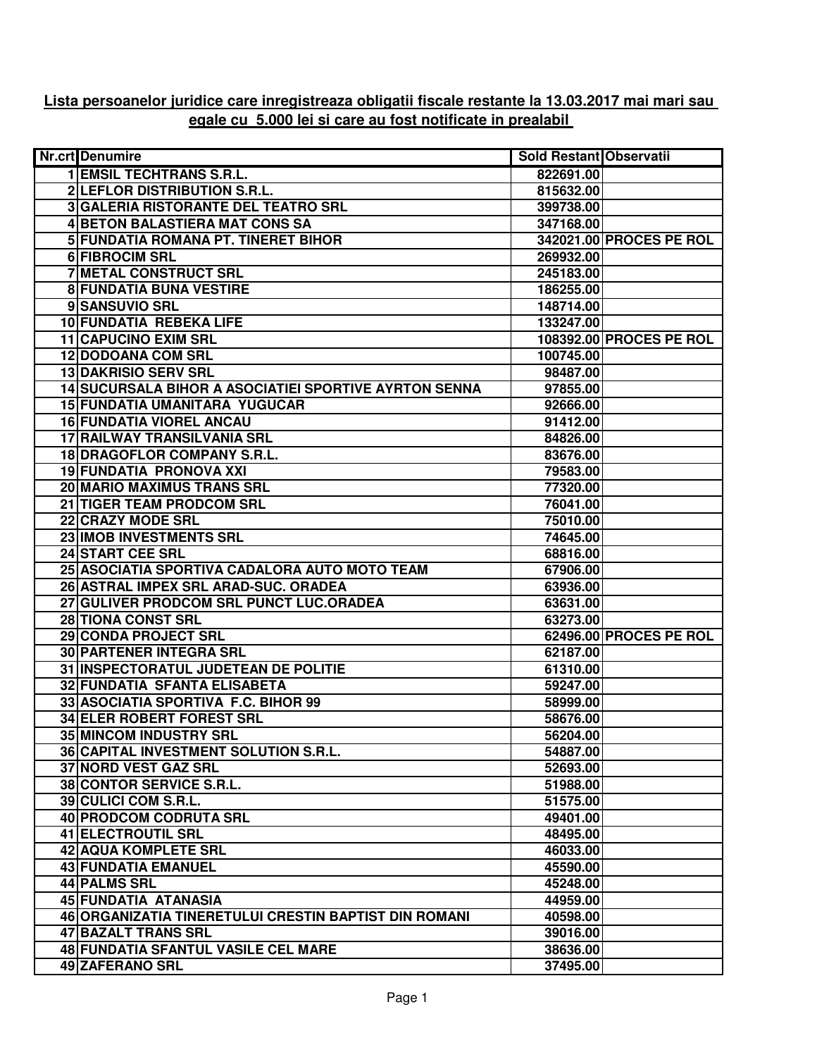## **Lista persoanelor juridice care inregistreaza obligatii fiscale restante la 13.03.2017 mai mari sau egale cu 5.000 lei si care au fost notificate in prealabil**

| <b>Nr.crt</b> Denumire                                | <b>Sold Restant Observatii</b> |                         |
|-------------------------------------------------------|--------------------------------|-------------------------|
| <b>1 EMSIL TECHTRANS S.R.L.</b>                       | 822691.00                      |                         |
| 2 LEFLOR DISTRIBUTION S.R.L.                          | 815632.00                      |                         |
| 3 GALERIA RISTORANTE DEL TEATRO SRL                   | 399738.00                      |                         |
| <b>4 BETON BALASTIERA MAT CONS SA</b>                 | 347168.00                      |                         |
| <b>5 FUNDATIA ROMANA PT. TINERET BIHOR</b>            |                                | 342021.00 PROCES PE ROL |
| 6 FIBROCIM SRL                                        | 269932.00                      |                         |
| <b>7 METAL CONSTRUCT SRL</b>                          | 245183.00                      |                         |
| <b>8 FUNDATIA BUNA VESTIRE</b>                        | 186255.00                      |                         |
| 9 SANSUVIO SRL                                        | 148714.00                      |                         |
| <b>10 FUNDATIA REBEKA LIFE</b>                        | 133247.00                      |                         |
| <b>11 CAPUCINO EXIM SRL</b>                           |                                | 108392.00 PROCES PE ROL |
| <b>12 DODOANA COM SRL</b>                             | 100745.00                      |                         |
| <b>13 DAKRISIO SERV SRL</b>                           | 98487.00                       |                         |
| 14 SUCURSALA BIHOR A ASOCIATIEI SPORTIVE AYRTON SENNA | 97855.00                       |                         |
| 15 FUNDATIA UMANITARA YUGUCAR                         | 92666.00                       |                         |
| <b>16 FUNDATIA VIOREL ANCAU</b>                       | 91412.00                       |                         |
| 17 RAILWAY TRANSILVANIA SRL                           | 84826.00                       |                         |
| 18 DRAGOFLOR COMPANY S.R.L.                           | 83676.00                       |                         |
| 19 FUNDATIA PRONOVA XXI                               | 79583.00                       |                         |
| 20 MARIO MAXIMUS TRANS SRL                            | 77320.00                       |                         |
| 21 TIGER TEAM PRODCOM SRL                             | 76041.00                       |                         |
| 22 CRAZY MODE SRL                                     | 75010.00                       |                         |
| 23 IMOB INVESTMENTS SRL                               | 74645.00                       |                         |
| 24 START CEE SRL                                      | 68816.00                       |                         |
| 25 ASOCIATIA SPORTIVA CADALORA AUTO MOTO TEAM         | 67906.00                       |                         |
| 26 ASTRAL IMPEX SRL ARAD-SUC. ORADEA                  | 63936.00                       |                         |
| 27 GULIVER PRODCOM SRL PUNCT LUC.ORADEA               | 63631.00                       |                         |
| 28 TIONA CONST SRL                                    | 63273.00                       |                         |
| 29 CONDA PROJECT SRL                                  |                                | 62496.00 PROCES PE ROL  |
| 30 PARTENER INTEGRA SRL                               | 62187.00                       |                         |
| 31 INSPECTORATUL JUDETEAN DE POLITIE                  | 61310.00                       |                         |
| 32 FUNDATIA SFANTA ELISABETA                          | 59247.00                       |                         |
| 33 ASOCIATIA SPORTIVA F.C. BIHOR 99                   | 58999.00                       |                         |
| <b>34 ELER ROBERT FOREST SRL</b>                      | 58676.00                       |                         |
| 35 MINCOM INDUSTRY SRL                                | 56204.00                       |                         |
| 36 CAPITAL INVESTMENT SOLUTION S.R.L.                 | 54887.00                       |                         |
| 37 NORD VEST GAZ SRL                                  | 52693.00                       |                         |
| 38 CONTOR SERVICE S.R.L.                              | 51988.00                       |                         |
| 39 CULICI COM S.R.L.                                  | 51575.00                       |                         |
| 40 PRODCOM CODRUTA SRL                                | 49401.00                       |                         |
| 41 ELECTROUTIL SRL                                    | 48495.00                       |                         |
| <b>42 AQUA KOMPLETE SRL</b>                           | 46033.00                       |                         |
| 43 FUNDATIA EMANUEL                                   | 45590.00                       |                         |
| 44 PALMS SRL                                          | 45248.00                       |                         |
| 45 FUNDATIA ATANASIA                                  | 44959.00                       |                         |
| 46 ORGANIZATIA TINERETULUI CRESTIN BAPTIST DIN ROMANI | 40598.00                       |                         |
| 47 BAZALT TRANS SRL                                   | 39016.00                       |                         |
| 48 FUNDATIA SFANTUL VASILE CEL MARE                   | 38636.00                       |                         |
| 49 ZAFERANO SRL                                       | 37495.00                       |                         |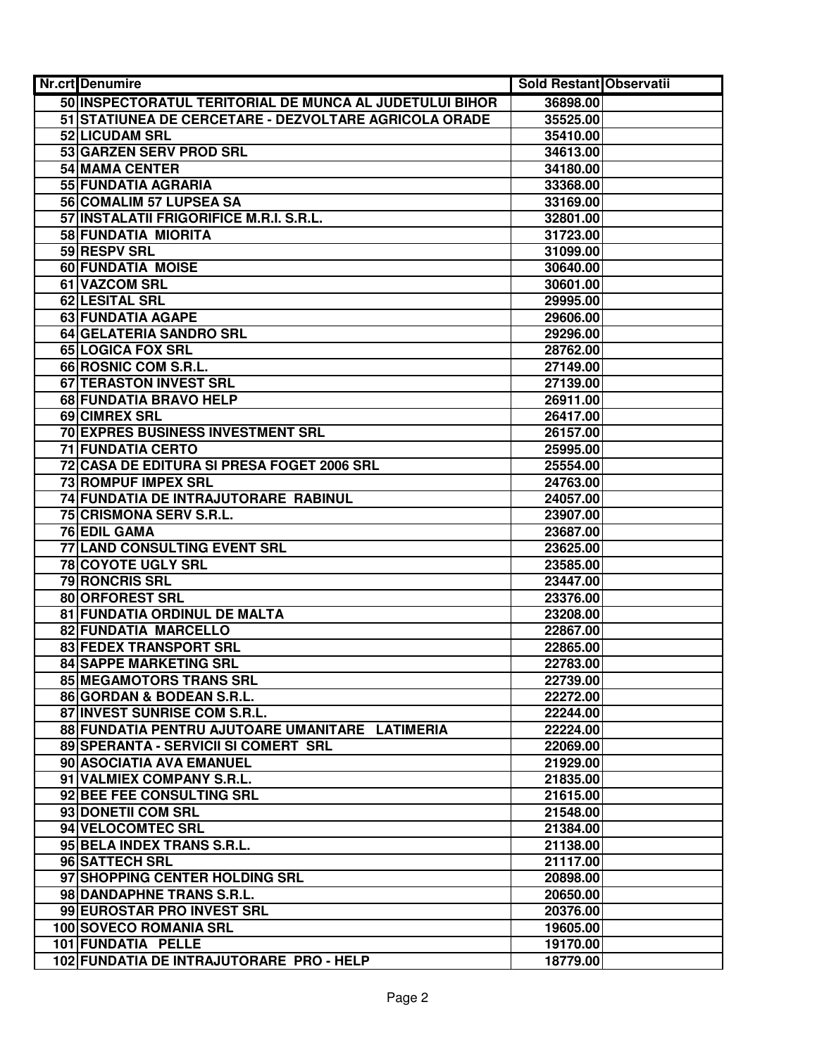| Nr.crt Denumire                                         | Sold Restant Observatii |  |
|---------------------------------------------------------|-------------------------|--|
| 50 INSPECTORATUL TERITORIAL DE MUNCA AL JUDETULUI BIHOR | 36898.00                |  |
| 51 STATIUNEA DE CERCETARE - DEZVOLTARE AGRICOLA ORADE   | 35525.00                |  |
| 52 LICUDAM SRL                                          | 35410.00                |  |
| 53 GARZEN SERV PROD SRL                                 | 34613.00                |  |
| 54 MAMA CENTER                                          | 34180.00                |  |
| 55 FUNDATIA AGRARIA                                     | 33368.00                |  |
| 56 COMALIM 57 LUPSEA SA                                 | 33169.00                |  |
| 57 INSTALATII FRIGORIFICE M.R.I. S.R.L.                 | 32801.00                |  |
| 58 FUNDATIA MIORITA                                     | 31723.00                |  |
| 59 RESPV SRL                                            | 31099.00                |  |
| 60 FUNDATIA MOISE                                       | 30640.00                |  |
| 61 VAZCOM SRL                                           | 30601.00                |  |
| 62 LESITAL SRL                                          | 29995.00                |  |
| 63 FUNDATIA AGAPE                                       | 29606.00                |  |
| 64 GELATERIA SANDRO SRL                                 | 29296.00                |  |
| <b>65 LOGICA FOX SRL</b>                                | 28762.00                |  |
| 66 ROSNIC COM S.R.L.                                    | 27149.00                |  |
| <b>67 TERASTON INVEST SRL</b>                           | 27139.00                |  |
| 68 FUNDATIA BRAVO HELP                                  | 26911.00                |  |
| 69 CIMREX SRL                                           | 26417.00                |  |
| <b>70 EXPRES BUSINESS INVESTMENT SRL</b>                | 26157.00                |  |
| <b>71 FUNDATIA CERTO</b>                                | 25995.00                |  |
| 72 CASA DE EDITURA SI PRESA FOGET 2006 SRL              | 25554.00                |  |
| 73 ROMPUF IMPEX SRL                                     | 24763.00                |  |
| 74 FUNDATIA DE INTRAJUTORARE RABINUL                    | 24057.00                |  |
| 75 CRISMONA SERV S.R.L.                                 | 23907.00                |  |
| 76 EDIL GAMA                                            | 23687.00                |  |
| 77 LAND CONSULTING EVENT SRL                            | 23625.00                |  |
| 78 COYOTE UGLY SRL                                      | 23585.00                |  |
| 79 RONCRIS SRL                                          | 23447.00                |  |
| 80 ORFOREST SRL                                         | 23376.00                |  |
| 81 FUNDATIA ORDINUL DE MALTA                            | 23208.00                |  |
| 82 FUNDATIA MARCELLO                                    | 22867.00                |  |
| 83 FEDEX TRANSPORT SRL                                  | 22865.00                |  |
| <b>84 SAPPE MARKETING SRL</b>                           | 22783.00                |  |
| 85 MEGAMOTORS TRANS SRL                                 | 22739.00                |  |
| 86 GORDAN & BODEAN S.R.L.                               | 22272.00                |  |
| 87 INVEST SUNRISE COM S.R.L.                            | 22244.00                |  |
| 88 FUNDATIA PENTRU AJUTOARE UMANITARE LATIMERIA         | 22224.00                |  |
| 89 SPERANTA - SERVICII SI COMERT SRL                    | 22069.00                |  |
| 90 ASOCIATIA AVA EMANUEL                                | 21929.00                |  |
| 91 VALMIEX COMPANY S.R.L.                               | 21835.00                |  |
| 92 BEE FEE CONSULTING SRL<br>93 DONETII COM SRL         | 21615.00<br>21548.00    |  |
|                                                         |                         |  |
| 94 VELOCOMTEC SRL<br>95 BELA INDEX TRANS S.R.L.         | 21384.00<br>21138.00    |  |
| 96 SATTECH SRL                                          | 21117.00                |  |
| 97 SHOPPING CENTER HOLDING SRL                          | 20898.00                |  |
| 98 DANDAPHNE TRANS S.R.L.                               | 20650.00                |  |
| 99 EUROSTAR PRO INVEST SRL                              | 20376.00                |  |
| 100 SOVECO ROMANIA SRL                                  | 19605.00                |  |
| 101 FUNDATIA PELLE                                      | 19170.00                |  |
| 102 FUNDATIA DE INTRAJUTORARE PRO - HELP                | 18779.00                |  |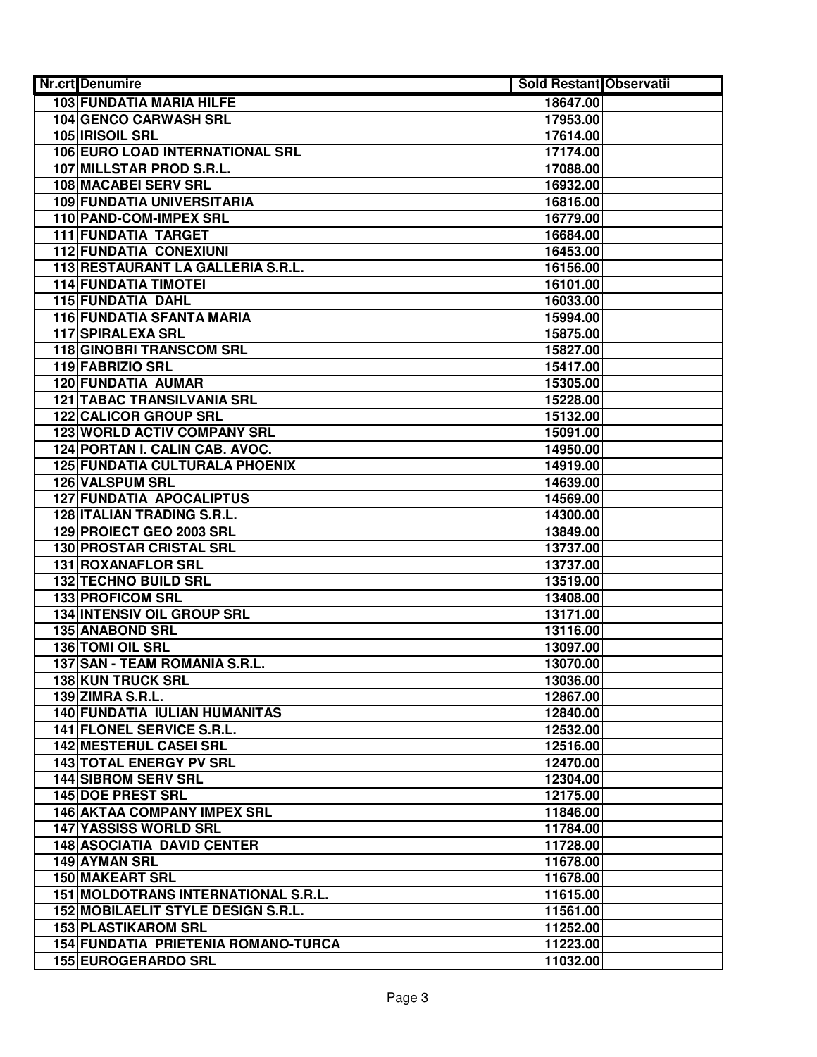| <b>Nr.crt</b> Denumire                | <b>Sold Restant Observatii</b> |  |
|---------------------------------------|--------------------------------|--|
| 103 FUNDATIA MARIA HILFE              | 18647.00                       |  |
| <b>104 GENCO CARWASH SRL</b>          | 17953.00                       |  |
| 105 <b>IRISOIL SRL</b>                | 17614.00                       |  |
| 106 EURO LOAD INTERNATIONAL SRL       | 17174.00                       |  |
| 107 MILLSTAR PROD S.R.L.              | 17088.00                       |  |
| <b>108 MACABEI SERV SRL</b>           | 16932.00                       |  |
| <b>109 FUNDATIA UNIVERSITARIA</b>     | 16816.00                       |  |
| 110 PAND-COM-IMPEX SRL                | 16779.00                       |  |
| <b>111 FUNDATIA TARGET</b>            | 16684.00                       |  |
| <b>112 FUNDATIA CONEXIUNI</b>         | 16453.00                       |  |
| 113 RESTAURANT LA GALLERIA S.R.L.     | 16156.00                       |  |
| <b>114 FUNDATIA TIMOTEI</b>           | 16101.00                       |  |
| 115 FUNDATIA DAHL                     | 16033.00                       |  |
| 116 FUNDATIA SFANTA MARIA             | 15994.00                       |  |
| 117 SPIRALEXA SRL                     | 15875.00                       |  |
| <b>118 GINOBRI TRANSCOM SRL</b>       | 15827.00                       |  |
| 119 FABRIZIO SRL                      | 15417.00                       |  |
| <b>120 FUNDATIA AUMAR</b>             | 15305.00                       |  |
| <b>121 TABAC TRANSILVANIA SRL</b>     | 15228.00                       |  |
| <b>122 CALICOR GROUP SRL</b>          | 15132.00                       |  |
| <b>123 WORLD ACTIV COMPANY SRL</b>    | 15091.00                       |  |
| 124 PORTAN I. CALIN CAB. AVOC.        | 14950.00                       |  |
| <b>125 FUNDATIA CULTURALA PHOENIX</b> | 14919.00                       |  |
| <b>126 VALSPUM SRL</b>                | 14639.00                       |  |
| <b>127 FUNDATIA APOCALIPTUS</b>       | 14569.00                       |  |
| 128 ITALIAN TRADING S.R.L.            | 14300.00                       |  |
| 129 PROIECT GEO 2003 SRL              | 13849.00                       |  |
| 130 PROSTAR CRISTAL SRL               | 13737.00                       |  |
| 131 ROXANAFLOR SRL                    | 13737.00                       |  |
| 132 TECHNO BUILD SRL                  | 13519.00                       |  |
| 133 PROFICOM SRL                      | 13408.00                       |  |
| 134 INTENSIV OIL GROUP SRL            | 13171.00                       |  |
| <b>135 ANABOND SRL</b>                | 13116.00                       |  |
| 136 TOMI OIL SRL                      | 13097.00                       |  |
| 137 SAN - TEAM ROMANIA S.R.L.         | 13070.00                       |  |
| 138 KUN TRUCK SRL                     | 13036.00                       |  |
| 139 ZIMRA S.R.L.                      | 12867.00                       |  |
| 140 FUNDATIA IULIAN HUMANITAS         | 12840.00                       |  |
| 141 FLONEL SERVICE S.R.L.             | 12532.00                       |  |
| <b>142 MESTERUL CASEI SRL</b>         | 12516.00                       |  |
| <b>143 TOTAL ENERGY PV SRL</b>        | 12470.00                       |  |
| <b>144 SIBROM SERV SRL</b>            | 12304.00                       |  |
| <b>145 DOE PREST SRL</b>              | 12175.00                       |  |
| <b>146 AKTAA COMPANY IMPEX SRL</b>    | 11846.00                       |  |
| <b>147 YASSISS WORLD SRL</b>          | 11784.00                       |  |
| <b>148 ASOCIATIA DAVID CENTER</b>     | 11728.00                       |  |
| 149 AYMAN SRL                         | 11678.00                       |  |
| <b>150 MAKEART SRL</b>                | 11678.00                       |  |
| 151 MOLDOTRANS INTERNATIONAL S.R.L.   | 11615.00                       |  |
| 152 MOBILAELIT STYLE DESIGN S.R.L.    | 11561.00                       |  |
| <b>153 PLASTIKAROM SRL</b>            | 11252.00                       |  |
| 154 FUNDATIA PRIETENIA ROMANO-TURCA   | 11223.00                       |  |
| 155 EUROGERARDO SRL                   | 11032.00                       |  |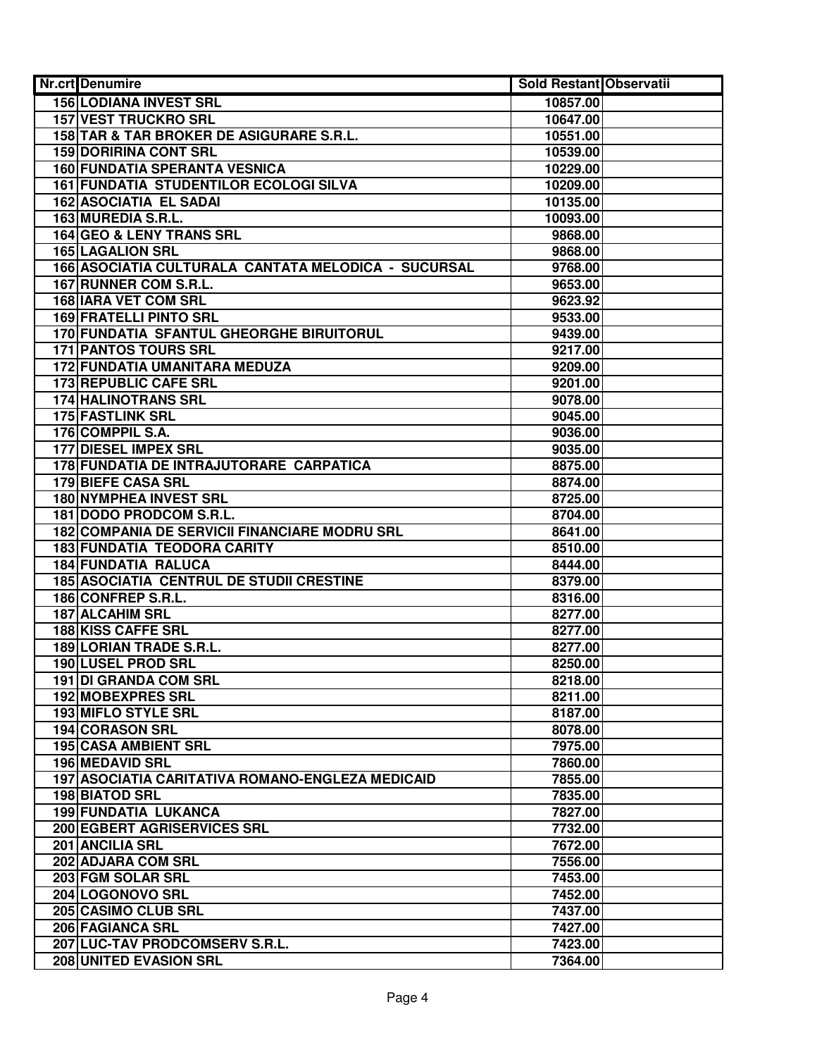| Nr.crt Denumire                                     | Sold Restant Observatii |  |
|-----------------------------------------------------|-------------------------|--|
| <b>156 LODIANA INVEST SRL</b>                       | 10857.00                |  |
| <b>157 VEST TRUCKRO SRL</b>                         | 10647.00                |  |
| 158 TAR & TAR BROKER DE ASIGURARE S.R.L.            | 10551.00                |  |
| <b>159 DORIRINA CONT SRL</b>                        | 10539.00                |  |
| <b>160 FUNDATIA SPERANTA VESNICA</b>                | 10229.00                |  |
| 161 FUNDATIA STUDENTILOR ECOLOGI SILVA              | 10209.00                |  |
| <b>162 ASOCIATIA EL SADAI</b>                       | 10135.00                |  |
| 163 MUREDIA S.R.L.                                  | 10093.00                |  |
| 164 GEO & LENY TRANS SRL                            | 9868.00                 |  |
| <b>165 LAGALION SRL</b>                             | 9868.00                 |  |
| 166 ASOCIATIA CULTURALA CANTATA MELODICA - SUCURSAL | 9768.00                 |  |
| 167 RUNNER COM S.R.L.                               | 9653.00                 |  |
| <b>168 IARA VET COM SRL</b>                         | 9623.92                 |  |
| <b>169 FRATELLI PINTO SRL</b>                       | 9533.00                 |  |
| 170 FUNDATIA SFANTUL GHEORGHE BIRUITORUL            | 9439.00                 |  |
| <b>171 PANTOS TOURS SRL</b>                         | 9217.00                 |  |
| 172 FUNDATIA UMANITARA MEDUZA                       | 9209.00                 |  |
| <b>173 REPUBLIC CAFE SRL</b>                        | 9201.00                 |  |
| <b>174 HALINOTRANS SRL</b>                          | 9078.00                 |  |
| 175 FASTLINK SRL                                    | 9045.00                 |  |
| 176 COMPPIL S.A.                                    | 9036.00                 |  |
| <b>177 DIESEL IMPEX SRL</b>                         | 9035.00                 |  |
| 178 FUNDATIA DE INTRAJUTORARE CARPATICA             | 8875.00                 |  |
| 179 BIEFE CASA SRL                                  | 8874.00                 |  |
| 180 NYMPHEA INVEST SRL                              | 8725.00                 |  |
| 181 DODO PRODCOM S.R.L.                             | 8704.00                 |  |
| 182 COMPANIA DE SERVICII FINANCIARE MODRU SRL       | 8641.00                 |  |
| 183 FUNDATIA TEODORA CARITY                         | 8510.00                 |  |
| <b>184 FUNDATIA RALUCA</b>                          | 8444.00                 |  |
| <b>185 ASOCIATIA CENTRUL DE STUDII CRESTINE</b>     | 8379.00                 |  |
| 186 CONFREP S.R.L.                                  | 8316.00                 |  |
| <b>187 ALCAHIM SRL</b>                              | 8277.00                 |  |
| 188 KISS CAFFE SRL                                  | 8277.00                 |  |
| 189 LORIAN TRADE S.R.L.                             | 8277.00                 |  |
| 190 LUSEL PROD SRL                                  | 8250.00                 |  |
| 191 DI GRANDA COM SRL                               | 8218.00                 |  |
| 192 MOBEXPRES SRL                                   | 8211.00                 |  |
| <b>193 MIFLO STYLE SRL</b>                          | 8187.00                 |  |
| <b>194 CORASON SRL</b>                              | 8078.00                 |  |
| <b>195 CASA AMBIENT SRL</b>                         | 7975.00                 |  |
| 196 MEDAVID SRL                                     | 7860.00                 |  |
| 197 ASOCIATIA CARITATIVA ROMANO-ENGLEZA MEDICAID    | 7855.00                 |  |
| <b>198 BIATOD SRL</b>                               | 7835.00                 |  |
| <b>199 FUNDATIA LUKANCA</b>                         | 7827.00                 |  |
| <b>200 EGBERT AGRISERVICES SRL</b>                  | 7732.00                 |  |
| 201 ANCILIA SRL                                     | 7672.00                 |  |
| 202 ADJARA COM SRL                                  | 7556.00                 |  |
| 203 FGM SOLAR SRL                                   | 7453.00                 |  |
| 204 LOGONOVO SRL                                    | 7452.00                 |  |
| 205 CASIMO CLUB SRL                                 | 7437.00                 |  |
| 206 FAGIANCA SRL                                    | 7427.00                 |  |
| 207 LUC-TAV PRODCOMSERV S.R.L.                      | 7423.00                 |  |
| 208 UNITED EVASION SRL                              | 7364.00                 |  |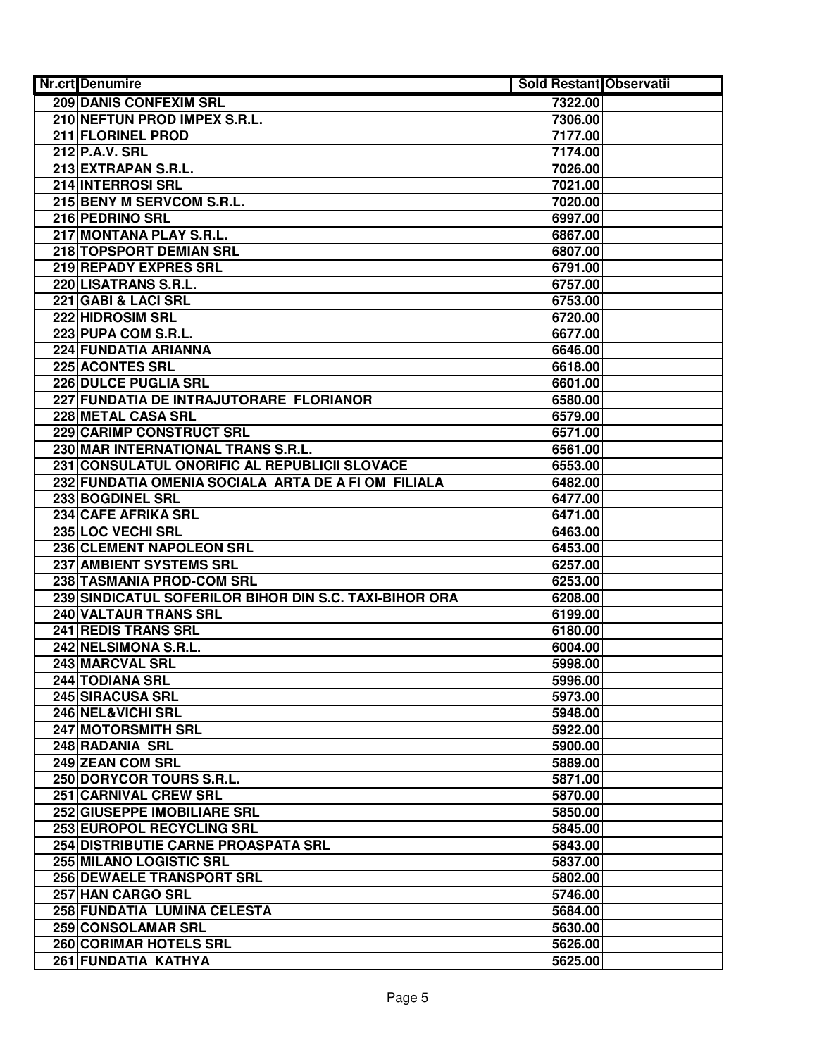| Nr.crt Denumire                                        | <b>Sold Restant Observatii</b> |  |
|--------------------------------------------------------|--------------------------------|--|
| <b>209 DANIS CONFEXIM SRL</b>                          | 7322.00                        |  |
| 210 NEFTUN PROD IMPEX S.R.L.                           | 7306.00                        |  |
| 211 FLORINEL PROD                                      | 7177.00                        |  |
| 212 P.A.V. SRL                                         | 7174.00                        |  |
| 213 EXTRAPAN S.R.L.                                    | 7026.00                        |  |
| 214 INTERROSI SRL                                      | 7021.00                        |  |
| 215 BENY M SERVCOM S.R.L.                              | 7020.00                        |  |
| 216 PEDRINO SRL                                        | 6997.00                        |  |
| 217 MONTANA PLAY S.R.L.                                | 6867.00                        |  |
| 218 TOPSPORT DEMIAN SRL                                | 6807.00                        |  |
| 219 REPADY EXPRES SRL                                  | 6791.00                        |  |
| 220 LISATRANS S.R.L.                                   | 6757.00                        |  |
| 221 GABI & LACI SRL                                    | 6753.00                        |  |
| 222 HIDROSIM SRL                                       | 6720.00                        |  |
| 223 PUPA COM S.R.L.                                    | 6677.00                        |  |
| 224 FUNDATIA ARIANNA                                   | 6646.00                        |  |
| <b>225 ACONTES SRL</b>                                 | 6618.00                        |  |
| <b>226 DULCE PUGLIA SRL</b>                            | 6601.00                        |  |
| 227 FUNDATIA DE INTRAJUTORARE FLORIANOR                | 6580.00                        |  |
| 228 METAL CASA SRL                                     | 6579.00                        |  |
| 229 CARIMP CONSTRUCT SRL                               | 6571.00                        |  |
| 230 MAR INTERNATIONAL TRANS S.R.L.                     | 6561.00                        |  |
| 231 CONSULATUL ONORIFIC AL REPUBLICII SLOVACE          | 6553.00                        |  |
| 232 FUNDATIA OMENIA SOCIALA ARTA DE A FI OM FILIALA    | 6482.00                        |  |
| 233 BOGDINEL SRL                                       | 6477.00                        |  |
| 234 CAFE AFRIKA SRL                                    | 6471.00                        |  |
| 235 LOC VECHI SRL                                      | 6463.00                        |  |
| 236 CLEMENT NAPOLEON SRL                               | 6453.00                        |  |
| 237 AMBIENT SYSTEMS SRL                                | 6257.00                        |  |
| 238 TASMANIA PROD-COM SRL                              | 6253.00                        |  |
| 239 SINDICATUL SOFERILOR BIHOR DIN S.C. TAXI-BIHOR ORA | 6208.00                        |  |
| 240 VALTAUR TRANS SRL                                  | 6199.00                        |  |
| 241 REDIS TRANS SRL                                    | 6180.00                        |  |
| 242 NELSIMONA S.R.L.                                   | 6004.00                        |  |
| 243 MARCVAL SRL                                        | 5998.00                        |  |
| 244 TODIANA SRL                                        | 5996.00                        |  |
| 245 SIRACUSA SRL                                       | 5973.00                        |  |
| 246 NEL&VICHI SRL                                      | 5948.00                        |  |
| 247 MOTORSMITH SRL                                     | 5922.00                        |  |
| 248 RADANIA SRL                                        | 5900.00                        |  |
| 249 ZEAN COM SRL                                       | 5889.00                        |  |
| 250 DORYCOR TOURS S.R.L.                               | 5871.00                        |  |
| <b>251 CARNIVAL CREW SRL</b>                           | 5870.00                        |  |
| 252 GIUSEPPE IMOBILIARE SRL                            | 5850.00                        |  |
| 253 EUROPOL RECYCLING SRL                              | 5845.00                        |  |
| 254 DISTRIBUTIE CARNE PROASPATA SRL                    | 5843.00                        |  |
| 255 MILANO LOGISTIC SRL                                | 5837.00                        |  |
| 256 DEWAELE TRANSPORT SRL                              | 5802.00                        |  |
| 257 HAN CARGO SRL                                      | 5746.00                        |  |
| 258 FUNDATIA LUMINA CELESTA                            | 5684.00                        |  |
| 259 CONSOLAMAR SRL                                     | 5630.00                        |  |
| 260 CORIMAR HOTELS SRL                                 | 5626.00                        |  |
| 261 FUNDATIA KATHYA                                    | 5625.00                        |  |
|                                                        |                                |  |